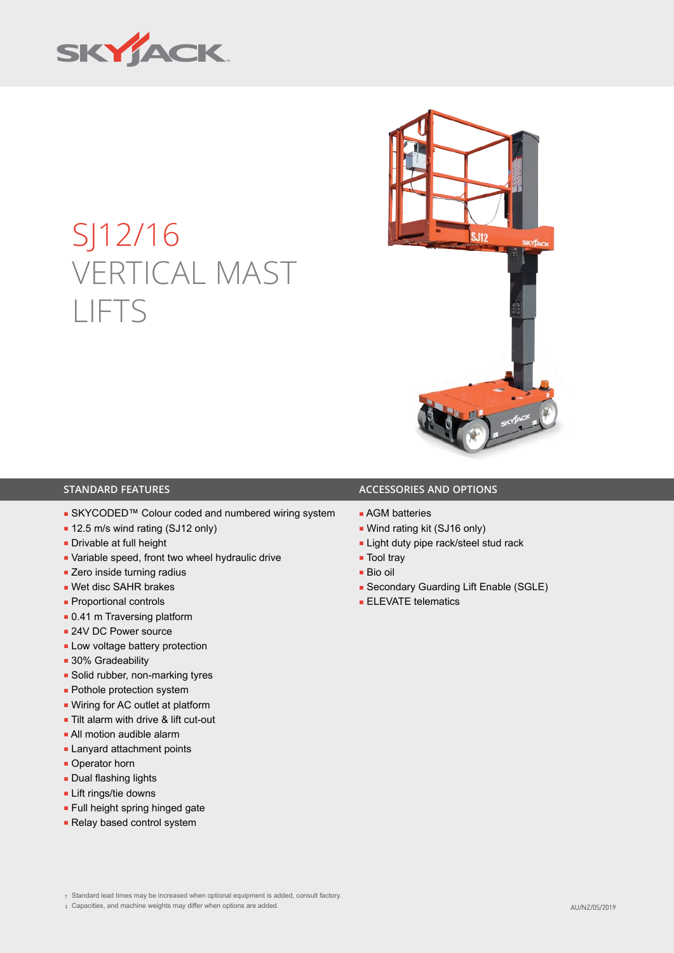

## SJ12/16 VERTICAL MAST LIFTS



## **STANDARD FEATURES ACCESSORIES AND OPTIONS**

- SKYCODED™ Colour coded and numbered wiring system
- 12.5 m/s wind rating (SJ12 only)
- Drivable at full height
- Variable speed, front two wheel hydraulic drive
- Zero inside turning radius
- Wet disc SAHR brakes
- Proportional controls
- 0.41 m Traversing platform
- 24V DC Power source
- Low voltage battery protection
- 30% Gradeability
- Solid rubber, non-marking tyres
- Pothole protection system
- Wiring for AC outlet at platform
- Tilt alarm with drive & lift cut-out
- All motion audible alarm
- Lanyard attachment points
- Operator horn
- Dual flashing lights
- Lift rings/tie downs
- Full height spring hinged gate
- Relay based control system

## ■ AGM batteries

- Wind rating kit (SJ16 only)
- Light duty pipe rack/steel stud rack
- Tool trav
- Bio oil
- Secondary Guarding Lift Enable (SGLE)
- ELEVATE telematics

† Standard lead times may be increased when optional equipment is added, consult factory.

‡ Capacities, and machine weights may differ when options are added. AU/NZ/05/2019